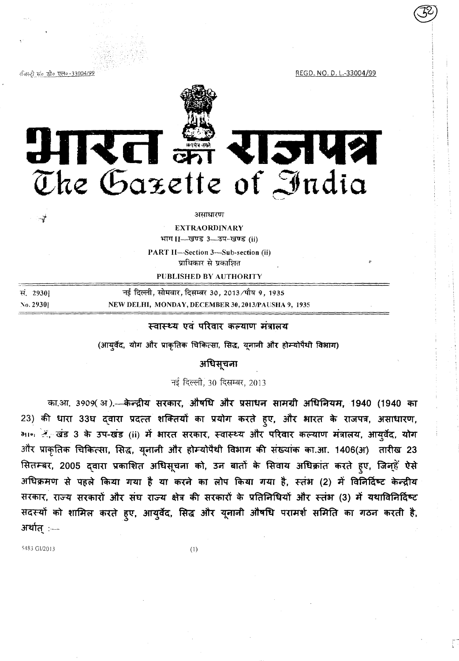रजिस्ट्री सं० डी० एल०-33004/99

REGD. NO. D. L.-33004/99



आरत झै राजपत्र The Gazette of India

#### असाधारण

**EXTRAORDINARY** 

भाग II- खण्ड 3- उप-खण्ड (ii)

PART II-Section 3-Sub-section (ii) प्राधिकार से प्रकाशित

PUBLISHED BY AUTHORITY

| सं. 2930  | नई दिल्ली, सोमवार, दिसम्बर 30, 2013/पौष 9, 1935     |
|-----------|-----------------------------------------------------|
| No. 29301 | NEW DELHI, MONDAY, DECEMBER 30, 2013/PAUSHA 9, 1935 |

# स्वास्थ्य एवं परिवार कल्याण मंत्रालय

(आयुर्वेद, योग और प्राकृतिक चिकित्सा, सिद्ध, यूनानी और होम्योपैथी विभाग)

अधिसूचना

नई दिल्ली, 30 दिसम्बर, 2013

का.आ. 3909(अ).- केन्द्रीय सरकार, औषधि और प्रसाधन सामग्री अधिनियम, 1940 (1940 का 23) की धारा 33घ दवारा प्रदत्त शक्तियों का प्रयोग करते हुए, और भारत के राजपत्र, असाधारण, माल दिल्यंड 3 के उप-खंड (ii) में भारत सरकार, स्वास्थ्य और परिवार कल्याण मंत्रालय, आयुर्वेद, योग और प्राकृतिक चिकित्सा, सिद्ध, यूनानी और होम्योपैथी विभाग की संख्यांक का.आ. 1406(अ) तारीख 23 सितम्बर, 2005 द्वारा प्रकाशित अधिसूचना को, उन बातों के सिवाय अधिक्रांत करते हूए, जिन्हें ऐसे अधिक्रमण से पहले किया गया है या करने का लोप किया गया है, स्तंभ (2) में विनिर्दिष्ट केन्द्रीय सरकार, राज्य सरकारों और संघ राज्य क्षेत्र की सरकारों के प्रतिनिधियों और स्तंभ (3) में यथाविनिर्विष्ट सदस्यों को शामिल करते हुए, आयुर्वेद, सिद्ध और यूनानी औषधि परामर्श समिति का गठन करती है, अर्थात् $:$   $-$ 

5483 GI/2013

 $(1)$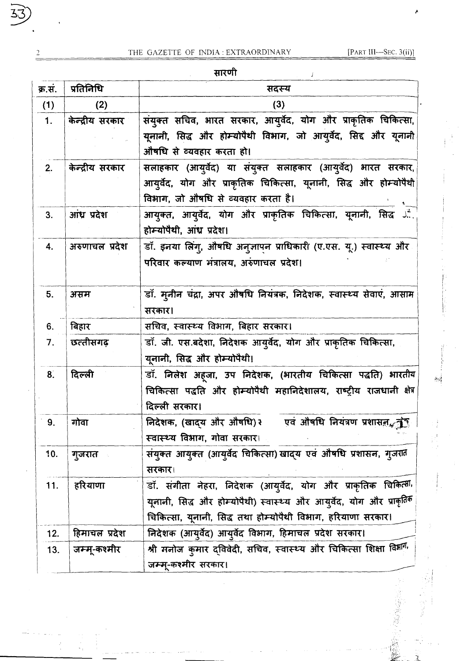सारणी

| सारणी   |                 |                                                                                                                                                                                                        |  |
|---------|-----------------|--------------------------------------------------------------------------------------------------------------------------------------------------------------------------------------------------------|--|
| क्र.सं. | प्रतिनिधि       | सदस्य                                                                                                                                                                                                  |  |
| (1)     | (2)             | (3)                                                                                                                                                                                                    |  |
| 1.      | केन्द्रीय सरकार | संयुक्त सचिव, भारत सरकार, आयुर्वेद, योग और प्राकृतिक चिकित्सा,                                                                                                                                         |  |
|         |                 | यूनानी, सिद्ध और होम्योपैथी विभाग, जो आयुर्वेद, सिद्द और यूनानी<br>ओषधि से व्यवहार करता हो।                                                                                                            |  |
| 2.      | केन्द्रीय सरकार | सलाहकार (आयुर्वेद) या संयुक्त सलाहकार (आयुर्वेद) भारत सरकार,<br>आयुर्वेद, योग और प्राकृतिक चिकित्सा, यूनानी, सिद्ध और होम्योपैथी<br>विभाग, जो औषधि से व्यवहार करता है।                                 |  |
| 3.      | आंध्र प्रदेश    | आयुक्त, आयुर्वेद, योग और प्राकृतिक चिकित्सा, यूनानी, सिद्ध औ<br>होम्योपैथी, आंध्र प्रदेश।                                                                                                              |  |
| 4.      | अरुणाचल प्रदेश  | डॉ. इनया लिंगु, औषधि अनुज्ञापन प्राधिकारी (ए.एस. यू.) स्वास्थ्य और<br>परिवार कल्याण भंत्रालय, अरुंणाचल प्रदेश।                                                                                         |  |
| 5.      | असम             | डॉ. मूनीन चंद्रा, अपर औषधि नियंत्रक, निदेशक, स्वास्थ्य सेवाएं, आसाम<br>सरकार।                                                                                                                          |  |
| 6.      | बिहार           | सचिव, स्वास्थ्य विभाग, बिहार सरकार।                                                                                                                                                                    |  |
| 7.      | छत्तीसगढ़       | डॉ. जी. एस.बदेशा, निदेशक आयुर्वेद, योग और प्राकृतिक चिकित्सा,<br>यूनानी, सिद्ध और होम्योपैथी।                                                                                                          |  |
| 8.      | दिल्ली          | डॉ. निलेश अहजा, उप निदेशक, (भारतीय चिकित्सा पद्धति) भारतीय<br>चिकित्सा पद्धति और होम्योपैथी महानिदेशालय, राष्ट्रीय राजधानी क्षेत्र<br>दिल्ली सरकार।                                                    |  |
| 9.      | गोवा            | निदेशक, (खाद्य और औषधि) २ एवं औषधि नियंत्रण प्रशासन (बाद्<br>स्वास्थ्य विभाग, गोवा सरकार।                                                                                                              |  |
| 10.     | गुजरात          | संयुक्त आयुक्त (आयुर्वेद चिकित्सा) खाद्य एवं औषधि प्रशासन, गुजरात<br>सरकार।                                                                                                                            |  |
| 11.     | हरियाणा         | डॉ. संगीता नेहरा, निदेशक (आयुर्वेद, योग और प्राकृतिक चिकित्सी,<br>यूनानी, सिद्ध और होम्योपैथी) स्वास्थ्य और आयुर्वेद, योग और प्राकृतिक<br>चिकित्सा, यूनानी, सिद्ध तथा होम्योपैथी विभाग, हरियाणा सरकार। |  |
| 12.     | हिमाचल प्रदेश   | निदेशक (आयुर्वेद) आयुर्वेद विभाग, हिमाचल प्रदेश सरकार।                                                                                                                                                 |  |
| 13.     | जम्मू-कश्मीर    | श्री मनोज कुमार द्विवेदी, सचिव, स्वास्थ्य और चिकित्सा शिक्षा वि <sup>श्लाग,</sup><br>जम्मू-कश्मीर सरकार।                                                                                               |  |

 $\overline{\mathcal{L}}$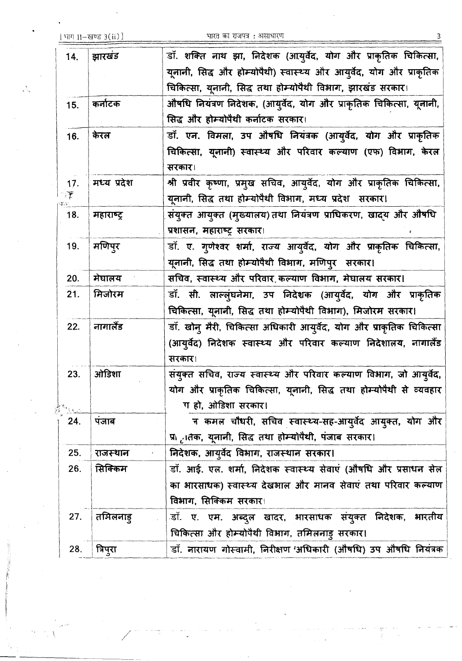Ņ,

भारत का राजपत्र : असाधारण

| 14. | झारखंड      | डॉ. शक्ति नाथ झा, निदेशक (आयुर्वेद, योग और प्राकृतिक चिकित्सा,        |
|-----|-------------|-----------------------------------------------------------------------|
|     |             | यूनानी, सिद्ध और होम्योपैथी) स्वास्थ्य और आयुर्वेद, योग और प्राकृतिक  |
|     |             | चिकित्सा, यूनानी, सिद्ध तथा होम्योपैथी विभाग, झारखंड सरकार।           |
| 15. | कर्नाटक     | औषधि नियंत्रण निदेशक, (आयुर्वेद, योग और प्राकृतिक चिकित्सा, यूनानी,   |
|     |             | सिद्ध और होम्योपैथी कर्नाटक सरकार।                                    |
| 16. | केरल        | डॉ. एन. विमला, उप औषधि नियंत्रक (आयुर्वेद, योग और प्राकृतिक           |
|     |             | चिकित्सा, यूनानी) स्वास्थ्य और परिवार कल्याण (एफ) विभाग, केरल         |
|     |             | सरकार।                                                                |
| 17. | मध्य प्रदेश | श्री प्रवीर कृष्णा, प्रमुख सचिव, आयुर्वेद, योग और प्राकृतिक चिकित्सा, |
| 漢   |             | यूनानी, सिद्ध तथा होम्योपैथी विभाग, मध्य प्रदेश सरकार।                |
| 18. | महाराष्ट्र  | संयुक्त आयुक्त (मुख्यालय) तथा नियंत्रण प्राधिकरण, खादय और औषधि        |
|     |             | प्रशासन, महाराष्ट्र सरकार।                                            |
| 19. | मणिपुर      | डॉ. ए. गुणेश्वर शर्मा, राज्य आयुर्वेद, योग और प्राकृतिक चिकित्सा,     |
|     |             | यूनानी, सिद्ध तथा होम्योपैथी विभाग, मणिपुर सरकार।                     |
| 20. | मेघालय      | सचिव, स्वास्थ्य और परिवार कल्याण विभाग, मेघालय सरकार।                 |
| 21. | मिजोरम      | डॉ. सी. लाल्ल्ंघनेमा, उप निदेशक (आयुर्वेद, योग और प्राकृतिक           |
|     |             | चिकित्सा, यूनानी, सिद्ध तथा होम्योपैथी विभाग), मिजोरम सरकार।          |
| 22. | नागालैंड    | डॉ. खोन् मैरी, चिकित्सा अधिकारी आयुर्वेद, योग और प्राकृतिक चिकित्सा   |
|     |             | (आयूर्वेद) निदेशक स्वास्थ्य और परिवार कल्याण निदेशालय, नागालैंड       |
|     |             | सरकार।                                                                |
| 23. | ओडिशा       | संयुक्त सचिव, राज्य स्वास्थ्य और परिवार कल्याण विभाग, जो आयुर्वेद,    |
|     |             | योग और प्राकृतिक चिकित्सा, यूनानी, सिद्ध तथा होम्योपैथी से व्यवहार    |
|     |             | ग हो, ओडिशा सरकार।                                                    |
| 24. | पंजाब       | ज कमल चौधरी, सचिव स्वास्थ्य-सह-आयुर्वेद आयुक्त, योग और                |
|     |             | प्रो <sub>ट</sub> ातक, यूनानी, सिद्ध तथा होम्चोपैथी, पंजाब सरकार।     |
| 25. | राजस्थान    | निदेशक, आयुर्वेद विभाग, राजस्थान सरकार।                               |
| 26. | सिक्किम     | डॉ. आई. एल. शर्मा, निदेशक स्वास्थ्य सेवाएं (औषधि और प्रसाधन सेल       |
|     |             | का भारसाधक) स्वास्थ्य देखभाल और मानव सेवाएं तथा परिवार कल्याण         |
|     |             | विभाग, सिक्किम सरकार।                                                 |
| 27. | तमिलनाडु    | डॉ. ए. एम. अब्दुल खादर, भारसाधक संयुक्त निदेशक, भारतीय                |
|     |             | चिकित्सा और होम्योपैथी विभाग, तमिलनाड़ सरकार।                         |
| 28. | त्रिपुरा    | डॉ. नारायण गोस्वामी, निरीक्षण 'अधिकारी (औषधि) उप औषधि नियंत्रक        |
|     |             |                                                                       |

3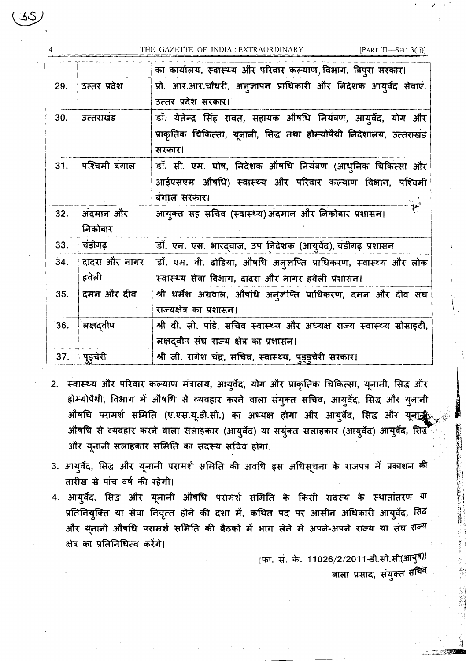THE GAZETTE OF INDIA : EXTRAORDINARY

[PART III-SEC. 3(ii)]

|     |               | का कार्यालय, स्वास्थ्य और परिवार कल्याण,विभाग, त्रिपुरा सरकार।            |
|-----|---------------|---------------------------------------------------------------------------|
| 29. | उत्तर प्रदेश  | प्रो. आर.आर.चौधरी, अन् <b>जापन प्राधिकारी और निदेशक आयुर्वेद सेवा</b> एं, |
|     |               | उत्तर प्रदेश सरकार।                                                       |
| 30. | उत्तराखंड     | डॉ. येतेन्द्र सिंह रावत, सहायक औषधि नियंत्रण, आयुर्वेद, योग और            |
|     |               | प्राकृतिक चिकित्सा, यूनानी, सिद्ध तथा होम्योपैथी निदेशालय, उत्तराखंड      |
|     |               | सरकार।                                                                    |
| 31. | पश्चिमी बंगाल | डॉ. सी. एम. घोष, निदेशक औषधि नियंत्रण (आधुनिक चिकित्सा और                 |
|     |               | आईएसएम औषधि) स्वास्थ्य और परिवार कल्याण विभाग, पश्चिमी                    |
|     |               | बंगाल सरकार।                                                              |
| 32. | अंदमान और     | आयुक्त सह सचिव (स्वास्थ्य) अंदमान और निकोबार प्रशासन।                     |
|     | निकोबार       |                                                                           |
| 33. | चंडीगढ़       | डॉ. एन. एस. भारदवाज, उप निदेशक (आयुर्वेद), चंडीगढ़ प्रशासन।               |
| 34. | दादरा और नागर | डॉ. एम. वी. ढोडिया, औषधि अनुज़प्ति प्राधिकरण, स्वास्थ्य और लोक            |
|     | हवेली         | स्वास्थ्य सेवा विभाग, दादरा और नागर हवेली प्रशासन।                        |
| 35. | दमन और दीव    | श्री धर्मेश अग्रवाल, औषधि अनुज़प्ति प्राधिकरण, दमन और दीव संघ             |
|     |               | राज्यक्षेत्र का प्रशासन।                                                  |
| 36. | तक्षदवीप      | श्री वी. सी. पांडे, सचिव स्वास्थ्य और अध्यक्ष राज्य स्वास्थ्य सोसाइटी,    |
|     |               | लक्षदवीप संघ राज्य क्षेत्र का प्रशासन।                                    |
| 37. | पुडुचेरी      | श्री जी. रागेश चंद्र, सचिव, स्वास्थ्य, प्ड्ड्चेरी सरकार।                  |

- 2. स्वास्थ्य और परिवार कल्याण मंत्रालय, आयुर्वेद, योग और प्राकृतिक चिकित्सा, यूनानी, सिद्ध और होम्योपैथी, विभाग में औषधि से व्यवहार करने वाला संयुक्त सचिव, आयुर्वेद, सिद्ध और युनानी औषधि परामर्श समिति (ए.एस.यू.डी.सी.) का अध्यक्ष होगा और आयुर्वेद, सिद्ध और यूनाट्ट औषधि से व्यवहार करने वाला सलाहकार (आयुर्वेद) या सयुंक्त सलाहकार (आयुर्वेद) आयुर्वेद, सिर्ढे और यूनानी सलाहकार समिति का सदस्य सचिव होगा।
- 3. आयुर्वेद, सिद्ध और यूनानी परामर्श समिति की अवधि इस अधिसूचना के राजपत्र में प्रकाशन की तारीख से पांच वर्ष की रहेगी।
- 4. आयुर्वेद, सिद्ध और यूनानी औषधि परामर्श समिति के किसी सदस्य के स्थातांतरण या प्रतिनियुक्ति या सेवा निवृत्त होने की दशा में, कथित पद पर आसीन अधिकारी आयुर्वेद, सिर्ब और यूनानी औषधि परामर्श समिति की बैठकों में भाग लेने में अपने-अपने राज्य या संघ राज्य क्षेत्र का प्रतिनिधित्व करेंगे।

[फा. सं. के. 11026/2/2011-डी.सी.सी(आयुष) बाला प्रसाद, संयुक्त सं<sup>चिव</sup>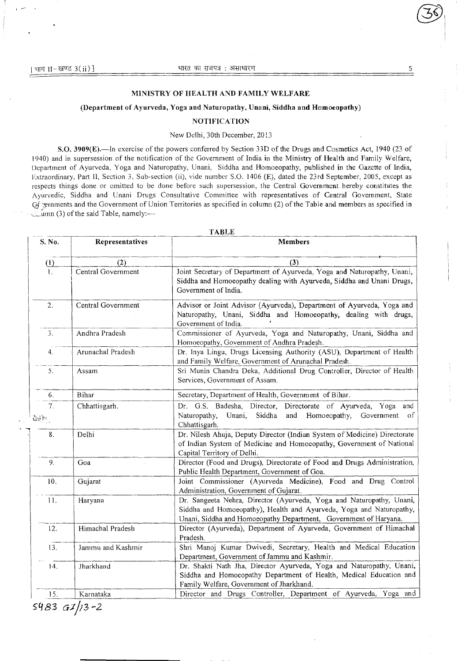## **MINISTRY OF HEALTH AND FAMILY WELFARE**

## **(Department of Ayurveda, Yoga and Naturopathy, Unani, Siddha and Homocopathy)**

#### **NOTIFICATION**

### New Delhi, 30th December, 2013

**S.O. 3909(E).**—In exercise of the powers conferred by Section 331) of the Drugs and Cosmetics Act, 1940 (23 of 1940) and in supersession of the notification of the Government of India in the Ministry of Health and Family Welfare, Department of Ayurveda, Yoga and Naturopathy, Unani, Siddha and Homoeopathy, published in the Gazette of India, Fxtraordinary, Part II, Section 3, Sub-section (ii), 'ide number SO. 1406 (E), dated the 23rd September, 2005, except as respects things done or omitted to be done before such supersession, the Central Government hereby constitutes the Ayurvedic, Siddha and Unani Drugs Consultative Committee with representatives of Central Government, State  $G$  gernments and the Government of Union Territories as specified in column (2) of the Table and members as specified in  $\mathcal{L}$ umn (3) of the said Table, namely:—

| S. No.            | Representatives    | <b>Members</b>                                                                                                                                                                                                  |
|-------------------|--------------------|-----------------------------------------------------------------------------------------------------------------------------------------------------------------------------------------------------------------|
| $\left( 1\right)$ | (2)                | (3)                                                                                                                                                                                                             |
| $\mathbf{I}$ .    | Central Government | Joint Secretary of Department of Ayurveda, Yoga and Naturopathy, Unani,<br>Siddha and Homoeopathy dealing with Ayurveda, Siddha and Unani Drugs,<br>Government of India.                                        |
| 2.                | Central Government | Advisor or Joint Advisor (Ayurveda), Department of Ayurveda, Yoga and<br>Naturopathy, Unani, Siddha and Homoeopathy, dealing with drugs,<br>Government of India.                                                |
| 3.                | Andhra Pradesh     | Commissioner of Ayurveda, Yoga and Naturopathy, Unani, Siddha and<br>Homoeopathy, Government of Andhra Pradesh.                                                                                                 |
| 4.                | Arunachal Pradesh  | Dr. Inya Lingu, Drugs Licensing Authority (ASU), Department of Health<br>and Family Welfare, Government of Arunachal Pradesh.                                                                                   |
| 5.                | Assam              | Sri Munin Chandra Deka, Additional Drug Controller, Director of Health<br>Services, Government of Assam.                                                                                                        |
| 6.                | Bihar              | Secretary, Department of Health, Government of Bihar.                                                                                                                                                           |
| 7.<br>ăşb.,       | Chhattisgarh.      | Dr. G.S. Badesha, Director, Directorate of Ayurveda, Yoga<br>and<br>Siddha<br>Naturopathy,<br>Unani,<br>and<br>Homoeopathy,<br>Government<br>of<br>Chhattisgarh.                                                |
| 8.                | Delhi              | Dr. Nilesh Ahuja, Deputy Director (Indian System of Medicine) Directorate<br>of Indian System of Medicine and Homoeopathy, Government of National<br>Capital Territory of Delhi.                                |
| 9.                | Goa                | Director (Food and Drugs), Directorate of Food and Drugs Administration,<br>Public Health Department, Government of Goa.                                                                                        |
| 10.               | Gujarat            | Joint Commissioner (Ayurveda Medicine), Food and Drug Control<br>Administration, Government of Gujarat.                                                                                                         |
| 11.               | Haryana            | Dr. Sangeeta Nehra, Director (Ayurveda, Yoga and Naturopathy, Unani,<br>Siddha and Homoeopathy), Health and Ayurveda, Yoga and Naturopathy,<br>Unani, Siddha and Homoeopathy Department, Government of Haryana. |
| 12.               | Himachal Pradesh   | Director (Ayurveda), Department of Ayurveda, Government of Himachal<br>Pradesh.                                                                                                                                 |
| 13.               | Jammu and Kashmir  | Shri Manoj Kumar Dwivedi, Secretary, Health and Medical Education<br>Department, Government of Jammu and Kashmir.                                                                                               |
| 14.               | Jharkhand          | Dr. Shakti Nath Jha, Director Ayurveda, Yoga and Naturopathy, Unani,<br>Siddha and Homoeopathy Department of Health, Medical Education and<br>Family Welfare, Government of Jharkhand.                          |
| 15.               | Karnataka          | Director and Drugs Controller, Department of Ayurveda, Yoga and                                                                                                                                                 |

**TABLE** 

*83 f/;3-2*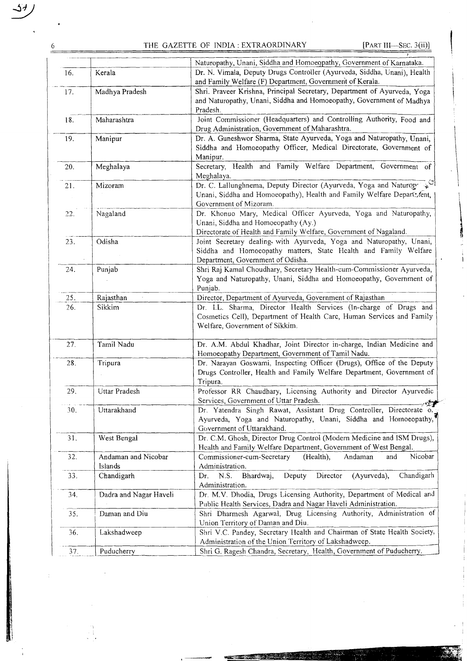6 THE GAZETTE OF INDIA: EXTRAORDINARY [PART III-SEC. 3(ii)]

erenge<br>September

|     |                        | Naturopathy, Unani, Siddha and Homoeopathy, Government of Karnataka.                                                                 |
|-----|------------------------|--------------------------------------------------------------------------------------------------------------------------------------|
| 16. | Kerala                 | Dr. N. Vimala, Deputy Drugs Controller (Ayurveda, Siddha, Unani), Health<br>and Family Welfare (F) Department, Government of Kerala. |
| 17. | Madhya Pradesh         | Shri. Praveer Krishna, Principal Secretary, Department of Ayurveda, Yoga                                                             |
|     |                        | and Naturopathy, Unani, Siddha and Homoeopathy, Government of Madhya                                                                 |
|     |                        | Pradesh.                                                                                                                             |
| 18. | Maharashtra            | Joint Commissioner (Headquarters) and Controlling Authority, Food and                                                                |
|     |                        | Drug Administration, Government of Maharashtra.                                                                                      |
| 19. | Manipur                | Dr. A. Guneshwor Sharma, State Ayurveda, Yoga and Naturopathy, Unani,                                                                |
|     |                        | Siddha and Homoeopathy Officer, Medical Directorate, Government of                                                                   |
|     |                        | Manipur.                                                                                                                             |
| 20. | Meghalaya              | Secretary, Health and Family Welfare Department, Government of                                                                       |
|     |                        | Meghalaya.                                                                                                                           |
| 21. | Mizoram                | Dr. C. Lallunghnema, Deputy Director (Ayurveda, Yoga and Naturop                                                                     |
|     |                        | Unani, Siddha and Homoeopathy), Health and Family Welfare Depart: fent,                                                              |
|     |                        | Government of Mizoram.                                                                                                               |
| 22. | Nagaland               | Dr. Khonuo Mary, Medical Officer Ayurveda, Yoga and Naturopathy,                                                                     |
|     |                        | Unani, Siddha and Homoeopathy (Ay.)                                                                                                  |
|     |                        | Directorate of Health and Family Welfare, Government of Nagaland.                                                                    |
| 23. | Odisha                 | Joint Secretary dealing with Ayurveda, Yoga and Naturopathy, Unani,                                                                  |
|     |                        | Siddha and Homoeopathy matters, State Health and Family Welfare                                                                      |
|     |                        | Department, Government of Odisha.                                                                                                    |
| 24. | Punjab                 | Shri Raj Kamal Choudhary, Secretary Health-cum-Commissioner Ayurveda,                                                                |
|     |                        | Yoga and Naturopathy, Unani, Siddha and Homoeopathy, Government of                                                                   |
|     |                        | Punjab.                                                                                                                              |
| 25. | Rajasthan              | Director, Department of Ayurveda, Government of Rajasthan                                                                            |
| 26. | Sikkim                 | Dr. I.L. Sharma, Director Health Services (In-charge of Drugs and                                                                    |
|     |                        | Cosmetics Cell), Department of Health Care, Human Services and Family                                                                |
|     |                        | Welfare, Government of Sikkim.                                                                                                       |
| 27. | Tamil Nadu             | Dr. A.M. Abdul Khadhar, Joint Director in-charge, Indian Medicine and                                                                |
|     |                        | Homoeopathy Department, Government of Tamil Nadu.                                                                                    |
| 28. | Tripura                | Dr. Narayan Goswami, Inspecting Officer (Drugs), Office of the Deputy                                                                |
|     |                        | Drugs Controller, Health and Family Welfare Department, Government of                                                                |
|     |                        | Tripura.                                                                                                                             |
| 29. | Uttar Pradesh          | Professor RR Chaudhary, Licensing Authority and Director Ayurvedic                                                                   |
|     |                        | Services, Government of Uttar Pradesh.                                                                                               |
| 30, | Uttarakhand            | Dr. Yatendra Singh Rawat, Assistant Drug Controller, Directorate o.                                                                  |
|     |                        | Ayurveda, Yoga and Naturopathy, Unani, Siddha and Homoeopathy,                                                                       |
|     |                        | Government of Uttarakhand.                                                                                                           |
| 31. | West Bengal            | Dr. C.M. Ghosh, Director Drug Control (Modern Medicine and ISM Drugs),                                                               |
|     |                        | Health and Family Welfare Department, Government of West Bengal.                                                                     |
| 32. | Andaman and Nicobar    | Nicobar<br>Commissioner-cum-Secretary<br>(Health),<br>Andaman<br>and                                                                 |
|     | Islands                | Administration.                                                                                                                      |
| 33. | Chandigarh             | Director<br>Deputy<br>(Ayurveda),<br>Chandigarh<br>Dr.<br>N.S.<br>Bhardwaj,                                                          |
|     |                        | Administration.                                                                                                                      |
| 34. | Dadra and Nagar Haveli | Dr. M.V. Dhodia, Drugs Licensing Authority, Department of Medical and                                                                |
|     |                        | Public Health Services, Dadra and Nagar Haveli Administration.                                                                       |
| 35. | Daman and Diu          | Shri Dharmesh Agarwal, Drug Licensing Authority, Administration of                                                                   |
|     |                        | Union Territory of Daman and Diu.                                                                                                    |
| 36. | Lakshadweep            | Shri V.C. Pandey, Secretary Health and Chairman of State Health Society,                                                             |
|     |                        | Administration of the Union Territory of Lakshadweep.                                                                                |
| 37. | Puducherry             | Shri G. Ragesh Chandra, Secretary, Health, Government of Puducherry.                                                                 |

l,

<u> 1999 - Johann Barnett, f</u>

 $\frac{1}{2}$